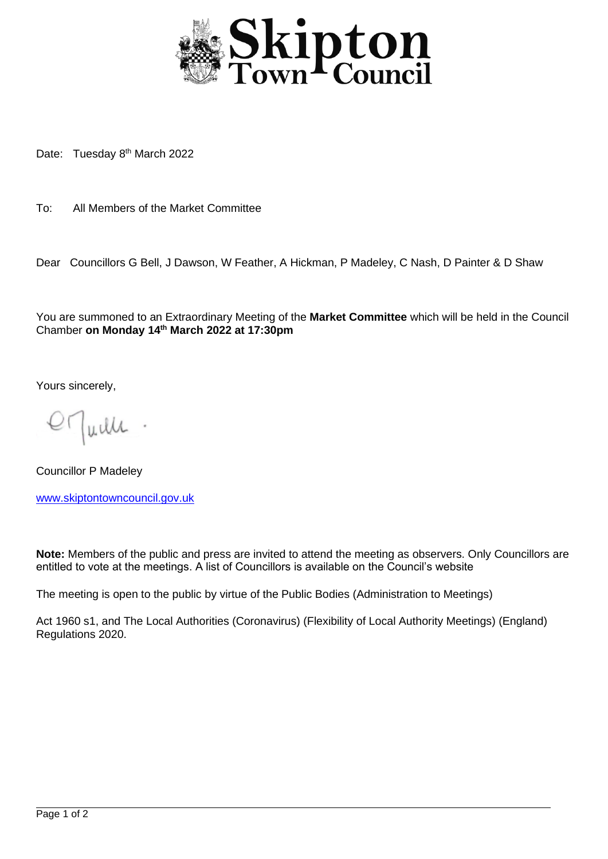

Date: Tuesday 8<sup>th</sup> March 2022

To: All Members of the Market Committee

Dear Councillors G Bell, J Dawson, W Feather, A Hickman, P Madeley, C Nash, D Painter & D Shaw

You are summoned to an Extraordinary Meeting of the **Market Committee** which will be held in the Council Chamber **on Monday 14th March 2022 at 17:30pm**

Yours sincerely,

Juille

Councillor P Madeley [www.skiptontowncouncil.gov.uk](http://www.skiptontowncouncil.gov.uk/)

**Note:** Members of the public and press are invited to attend the meeting as observers. Only Councillors are entitled to vote at the meetings. A list of Councillors is available on the Council's website

The meeting is open to the public by virtue of the Public Bodies (Administration to Meetings)

Act 1960 s1, and The Local Authorities (Coronavirus) (Flexibility of Local Authority Meetings) (England) Regulations 2020.

j.